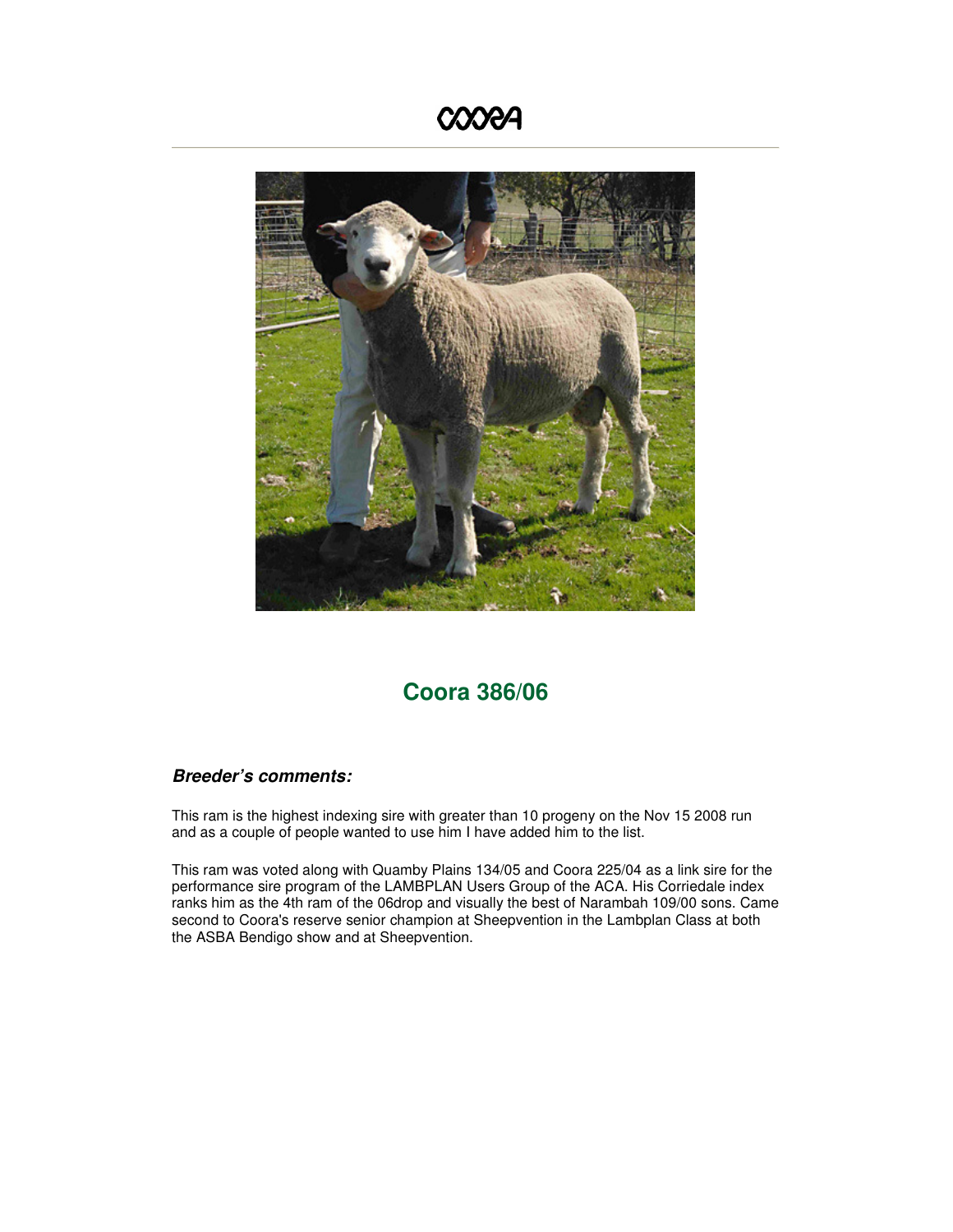## **COORA**



## **Coora 386/06**

## **Breeder's comments:**

This ram is the highest indexing sire with greater than 10 progeny on the Nov 15 2008 run and as a couple of people wanted to use him I have added him to the list.

This ram was voted along with Quamby Plains 134/05 and Coora 225/04 as a link sire for the performance sire program of the LAMBPLAN Users Group of the ACA. His Corriedale index ranks him as the 4th ram of the 06drop and visually the best of Narambah 109/00 sons. Came second to Coora's reserve senior champion at Sheepvention in the Lambplan Class at both the ASBA Bendigo show and at Sheepvention.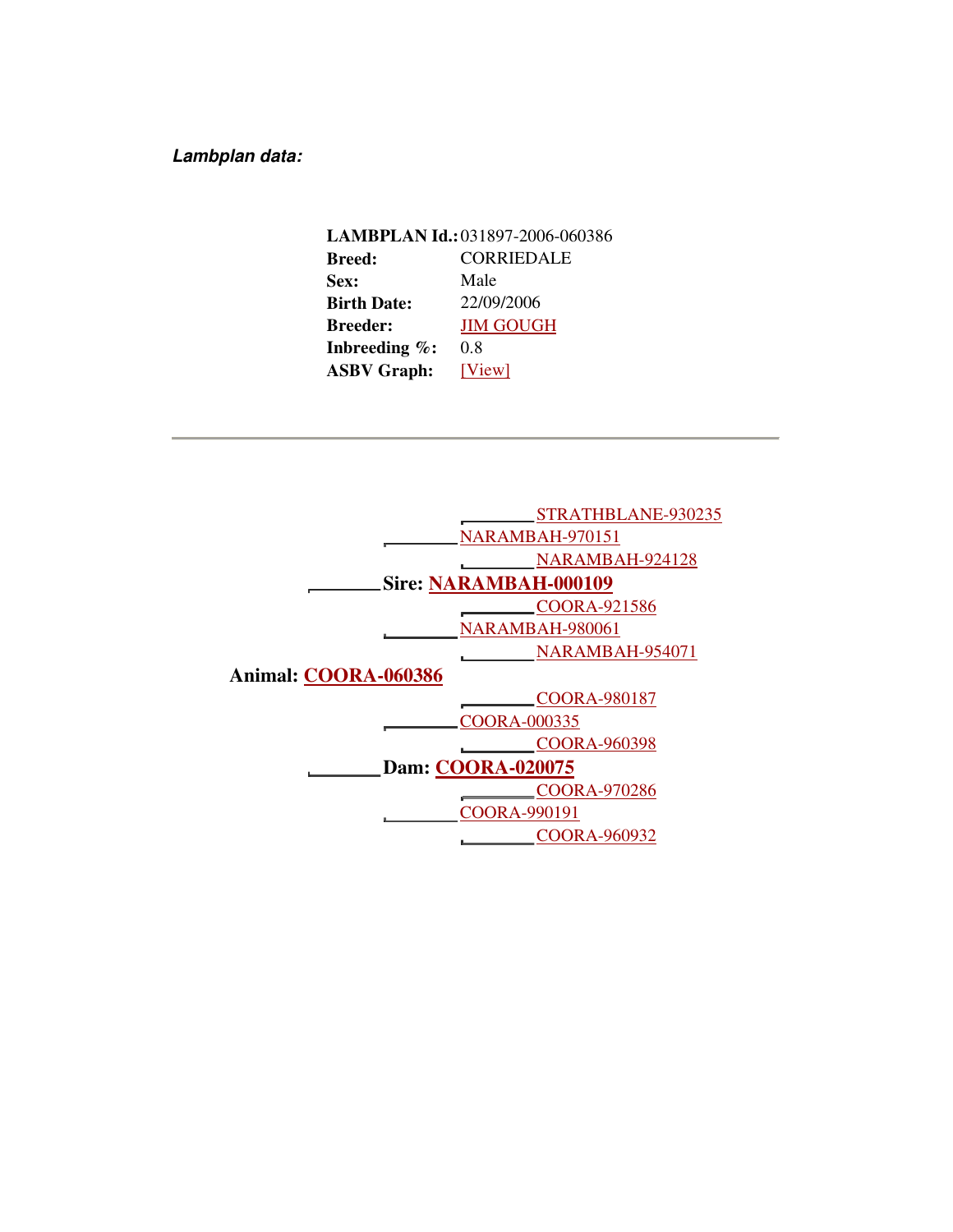**Lambplan data:** 

**LAMBPLAN Id.:**031897-2006-060386 **Breed:** CORRIEDALE **Sex:** Male **Birth Date:** 22/09/2006 **Breeder:** JIM GOUGH **Inbreeding %:** 0.8 **ASBV Graph:** [View]

|                          | STRATHBLANE-930235           |  |  |
|--------------------------|------------------------------|--|--|
|                          | NARAMBAH-970151              |  |  |
|                          | NARAMBAH-924128              |  |  |
|                          | <b>Sire: NARAMBAH-000109</b> |  |  |
|                          | COORA-921586                 |  |  |
|                          | NARAMBAH-980061              |  |  |
|                          | NARAMBAH-954071              |  |  |
| Animal: COORA-060386     |                              |  |  |
|                          | <b>COORA-980187</b>          |  |  |
|                          | COORA-000335                 |  |  |
|                          | COORA-960398                 |  |  |
| <b>Dam: COORA-020075</b> |                              |  |  |
|                          | COORA-970286                 |  |  |
|                          | COORA-990191                 |  |  |
|                          | COORA-960932                 |  |  |
|                          |                              |  |  |